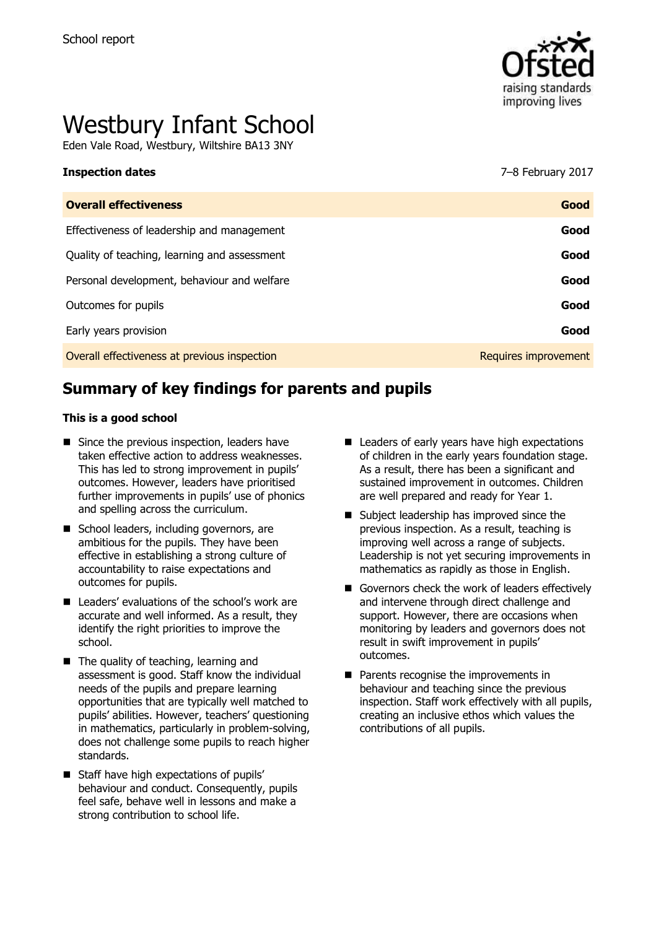

# Westbury Infant School

Eden Vale Road, Westbury, Wiltshire BA13 3NY

#### **Inspection dates** 7–8 February 2017

| <b>Overall effectiveness</b>                 | Good                 |
|----------------------------------------------|----------------------|
| Effectiveness of leadership and management   | Good                 |
| Quality of teaching, learning and assessment | Good                 |
| Personal development, behaviour and welfare  | Good                 |
| Outcomes for pupils                          | Good                 |
| Early years provision                        | Good                 |
| Overall effectiveness at previous inspection | Requires improvement |
|                                              |                      |

# **Summary of key findings for parents and pupils**

#### **This is a good school**

- Since the previous inspection, leaders have taken effective action to address weaknesses. This has led to strong improvement in pupils' outcomes. However, leaders have prioritised further improvements in pupils' use of phonics and spelling across the curriculum.
- School leaders, including governors, are ambitious for the pupils. They have been effective in establishing a strong culture of accountability to raise expectations and outcomes for pupils.
- Leaders' evaluations of the school's work are accurate and well informed. As a result, they identify the right priorities to improve the school.
- The quality of teaching, learning and assessment is good. Staff know the individual needs of the pupils and prepare learning opportunities that are typically well matched to pupils' abilities. However, teachers' questioning in mathematics, particularly in problem-solving, does not challenge some pupils to reach higher standards.
- Staff have high expectations of pupils' behaviour and conduct. Consequently, pupils feel safe, behave well in lessons and make a strong contribution to school life.
- Leaders of early years have high expectations of children in the early years foundation stage. As a result, there has been a significant and sustained improvement in outcomes. Children are well prepared and ready for Year 1.
- Subject leadership has improved since the previous inspection. As a result, teaching is improving well across a range of subjects. Leadership is not yet securing improvements in mathematics as rapidly as those in English.
- Governors check the work of leaders effectively and intervene through direct challenge and support. However, there are occasions when monitoring by leaders and governors does not result in swift improvement in pupils' outcomes.
- **Parents recognise the improvements in** behaviour and teaching since the previous inspection. Staff work effectively with all pupils, creating an inclusive ethos which values the contributions of all pupils.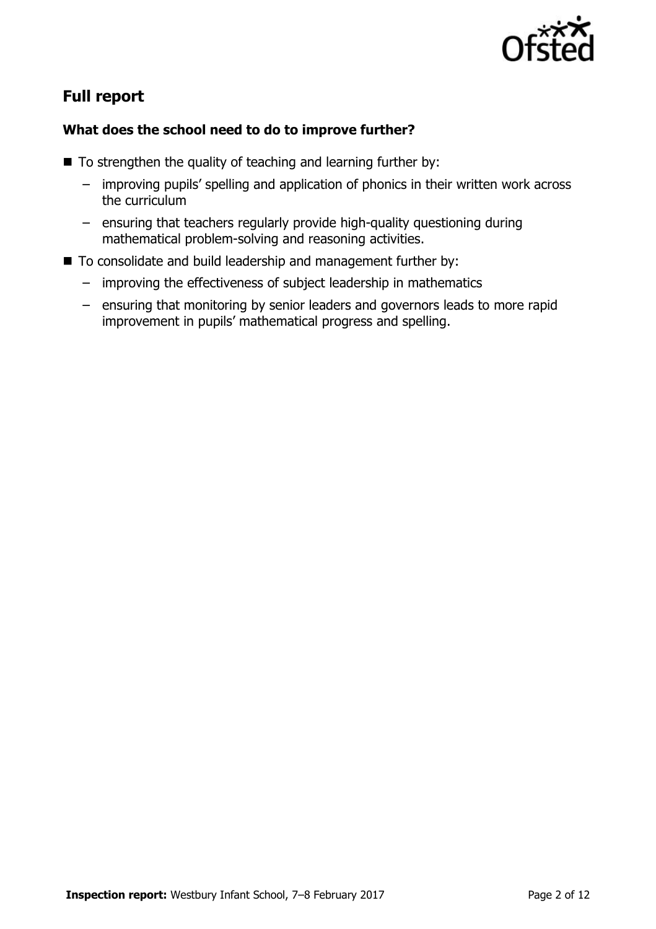

# **Full report**

### **What does the school need to do to improve further?**

- $\blacksquare$  To strengthen the quality of teaching and learning further by:
	- improving pupils' spelling and application of phonics in their written work across the curriculum
	- ensuring that teachers regularly provide high-quality questioning during mathematical problem-solving and reasoning activities.
- To consolidate and build leadership and management further by:
	- improving the effectiveness of subject leadership in mathematics
	- ensuring that monitoring by senior leaders and governors leads to more rapid improvement in pupils' mathematical progress and spelling.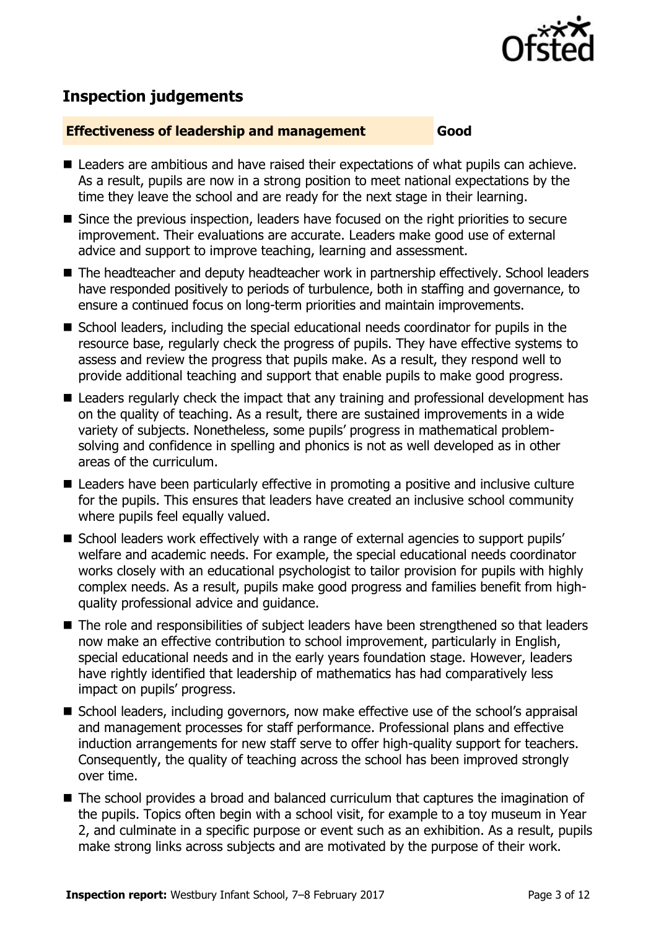

# **Inspection judgements**

#### **Effectiveness of leadership and management Good**

- Leaders are ambitious and have raised their expectations of what pupils can achieve. As a result, pupils are now in a strong position to meet national expectations by the time they leave the school and are ready for the next stage in their learning.
- Since the previous inspection, leaders have focused on the right priorities to secure improvement. Their evaluations are accurate. Leaders make good use of external advice and support to improve teaching, learning and assessment.
- The headteacher and deputy headteacher work in partnership effectively. School leaders have responded positively to periods of turbulence, both in staffing and governance, to ensure a continued focus on long-term priorities and maintain improvements.
- School leaders, including the special educational needs coordinator for pupils in the resource base, regularly check the progress of pupils. They have effective systems to assess and review the progress that pupils make. As a result, they respond well to provide additional teaching and support that enable pupils to make good progress.
- Leaders regularly check the impact that any training and professional development has on the quality of teaching. As a result, there are sustained improvements in a wide variety of subjects. Nonetheless, some pupils' progress in mathematical problemsolving and confidence in spelling and phonics is not as well developed as in other areas of the curriculum.
- Leaders have been particularly effective in promoting a positive and inclusive culture for the pupils. This ensures that leaders have created an inclusive school community where pupils feel equally valued.
- School leaders work effectively with a range of external agencies to support pupils' welfare and academic needs. For example, the special educational needs coordinator works closely with an educational psychologist to tailor provision for pupils with highly complex needs. As a result, pupils make good progress and families benefit from highquality professional advice and guidance.
- The role and responsibilities of subject leaders have been strengthened so that leaders now make an effective contribution to school improvement, particularly in English, special educational needs and in the early years foundation stage. However, leaders have rightly identified that leadership of mathematics has had comparatively less impact on pupils' progress.
- School leaders, including governors, now make effective use of the school's appraisal and management processes for staff performance. Professional plans and effective induction arrangements for new staff serve to offer high-quality support for teachers. Consequently, the quality of teaching across the school has been improved strongly over time.
- The school provides a broad and balanced curriculum that captures the imagination of the pupils. Topics often begin with a school visit, for example to a toy museum in Year 2, and culminate in a specific purpose or event such as an exhibition. As a result, pupils make strong links across subjects and are motivated by the purpose of their work.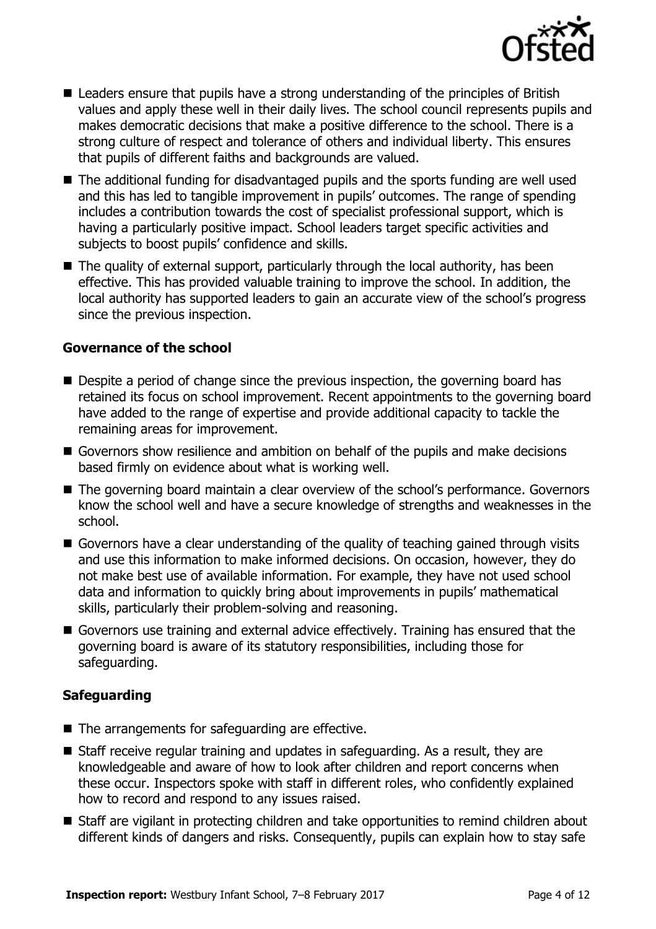

- Leaders ensure that pupils have a strong understanding of the principles of British values and apply these well in their daily lives. The school council represents pupils and makes democratic decisions that make a positive difference to the school. There is a strong culture of respect and tolerance of others and individual liberty. This ensures that pupils of different faiths and backgrounds are valued.
- The additional funding for disadvantaged pupils and the sports funding are well used and this has led to tangible improvement in pupils' outcomes. The range of spending includes a contribution towards the cost of specialist professional support, which is having a particularly positive impact. School leaders target specific activities and subjects to boost pupils' confidence and skills.
- The quality of external support, particularly through the local authority, has been effective. This has provided valuable training to improve the school. In addition, the local authority has supported leaders to gain an accurate view of the school's progress since the previous inspection.

#### **Governance of the school**

- Despite a period of change since the previous inspection, the governing board has retained its focus on school improvement. Recent appointments to the governing board have added to the range of expertise and provide additional capacity to tackle the remaining areas for improvement.
- Governors show resilience and ambition on behalf of the pupils and make decisions based firmly on evidence about what is working well.
- The governing board maintain a clear overview of the school's performance. Governors know the school well and have a secure knowledge of strengths and weaknesses in the school.
- Governors have a clear understanding of the quality of teaching gained through visits and use this information to make informed decisions. On occasion, however, they do not make best use of available information. For example, they have not used school data and information to quickly bring about improvements in pupils' mathematical skills, particularly their problem-solving and reasoning.
- Governors use training and external advice effectively. Training has ensured that the governing board is aware of its statutory responsibilities, including those for safeguarding.

### **Safeguarding**

- $\blacksquare$  The arrangements for safeguarding are effective.
- Staff receive regular training and updates in safeguarding. As a result, they are knowledgeable and aware of how to look after children and report concerns when these occur. Inspectors spoke with staff in different roles, who confidently explained how to record and respond to any issues raised.
- Staff are vigilant in protecting children and take opportunities to remind children about different kinds of dangers and risks. Consequently, pupils can explain how to stay safe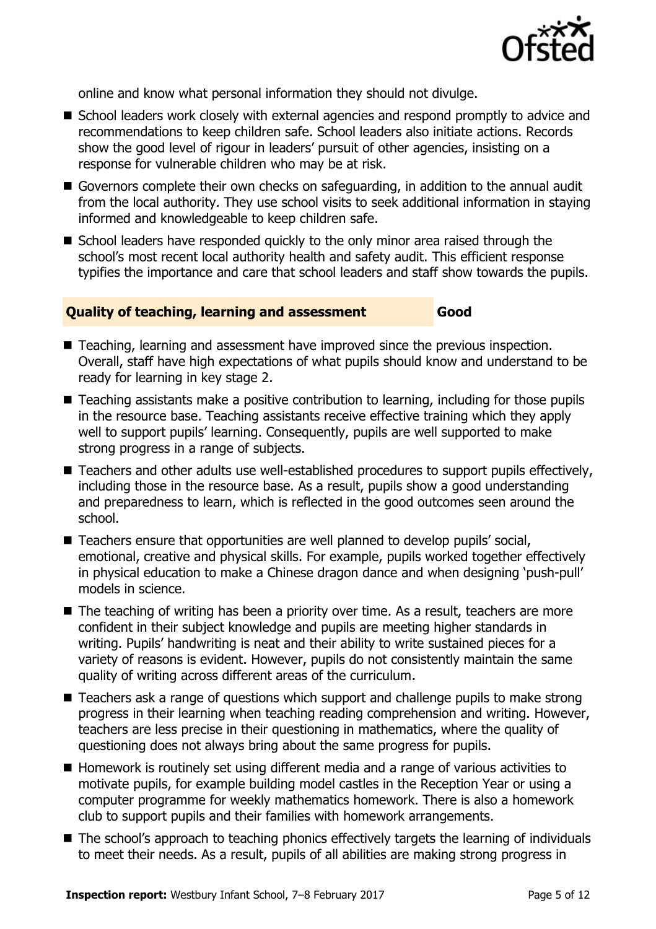

online and know what personal information they should not divulge.

- School leaders work closely with external agencies and respond promptly to advice and recommendations to keep children safe. School leaders also initiate actions. Records show the good level of rigour in leaders' pursuit of other agencies, insisting on a response for vulnerable children who may be at risk.
- Governors complete their own checks on safeguarding, in addition to the annual audit from the local authority. They use school visits to seek additional information in staying informed and knowledgeable to keep children safe.
- School leaders have responded quickly to the only minor area raised through the school's most recent local authority health and safety audit. This efficient response typifies the importance and care that school leaders and staff show towards the pupils.

#### **Quality of teaching, learning and assessment Good**

- Teaching, learning and assessment have improved since the previous inspection. Overall, staff have high expectations of what pupils should know and understand to be ready for learning in key stage 2.
- Teaching assistants make a positive contribution to learning, including for those pupils in the resource base. Teaching assistants receive effective training which they apply well to support pupils' learning. Consequently, pupils are well supported to make strong progress in a range of subjects.
- Teachers and other adults use well-established procedures to support pupils effectively, including those in the resource base. As a result, pupils show a good understanding and preparedness to learn, which is reflected in the good outcomes seen around the school.
- Teachers ensure that opportunities are well planned to develop pupils' social, emotional, creative and physical skills. For example, pupils worked together effectively in physical education to make a Chinese dragon dance and when designing 'push-pull' models in science.
- The teaching of writing has been a priority over time. As a result, teachers are more confident in their subject knowledge and pupils are meeting higher standards in writing. Pupils' handwriting is neat and their ability to write sustained pieces for a variety of reasons is evident. However, pupils do not consistently maintain the same quality of writing across different areas of the curriculum.
- Teachers ask a range of questions which support and challenge pupils to make strong progress in their learning when teaching reading comprehension and writing. However, teachers are less precise in their questioning in mathematics, where the quality of questioning does not always bring about the same progress for pupils.
- Homework is routinely set using different media and a range of various activities to motivate pupils, for example building model castles in the Reception Year or using a computer programme for weekly mathematics homework. There is also a homework club to support pupils and their families with homework arrangements.
- The school's approach to teaching phonics effectively targets the learning of individuals to meet their needs. As a result, pupils of all abilities are making strong progress in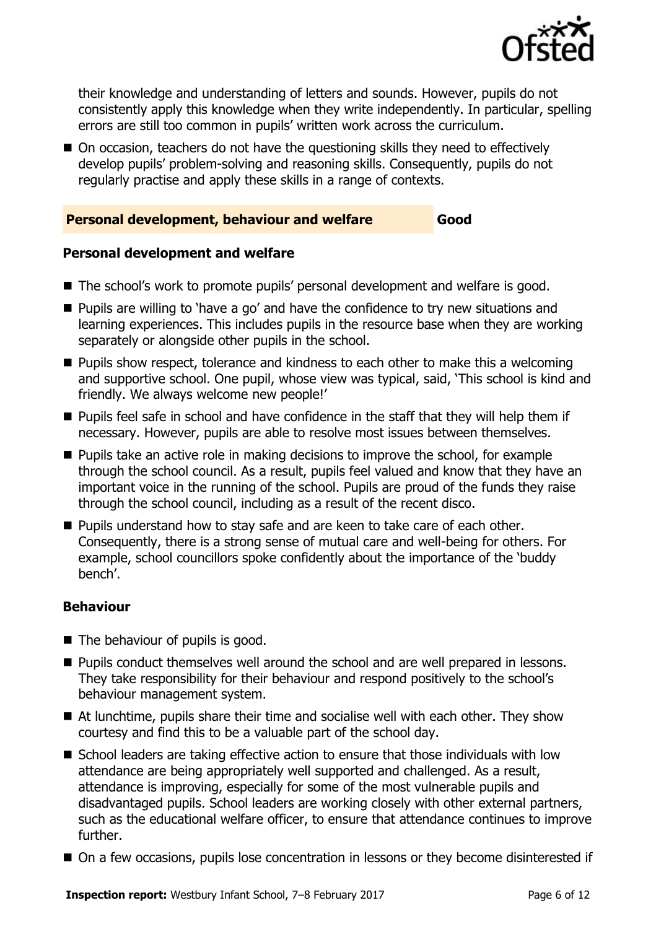

their knowledge and understanding of letters and sounds. However, pupils do not consistently apply this knowledge when they write independently. In particular, spelling errors are still too common in pupils' written work across the curriculum.

■ On occasion, teachers do not have the questioning skills they need to effectively develop pupils' problem-solving and reasoning skills. Consequently, pupils do not regularly practise and apply these skills in a range of contexts.

#### **Personal development, behaviour and welfare Good**

#### **Personal development and welfare**

- The school's work to promote pupils' personal development and welfare is good.
- **Pupils are willing to 'have a go' and have the confidence to try new situations and** learning experiences. This includes pupils in the resource base when they are working separately or alongside other pupils in the school.
- **Pupils show respect, tolerance and kindness to each other to make this a welcoming** and supportive school. One pupil, whose view was typical, said, 'This school is kind and friendly. We always welcome new people!'
- **Pupils feel safe in school and have confidence in the staff that they will help them if** necessary. However, pupils are able to resolve most issues between themselves.
- **Pupils take an active role in making decisions to improve the school, for example** through the school council. As a result, pupils feel valued and know that they have an important voice in the running of the school. Pupils are proud of the funds they raise through the school council, including as a result of the recent disco.
- **Pupils understand how to stay safe and are keen to take care of each other.** Consequently, there is a strong sense of mutual care and well-being for others. For example, school councillors spoke confidently about the importance of the 'buddy bench'.

#### **Behaviour**

- The behaviour of pupils is good.
- **Pupils conduct themselves well around the school and are well prepared in lessons.** They take responsibility for their behaviour and respond positively to the school's behaviour management system.
- At lunchtime, pupils share their time and socialise well with each other. They show courtesy and find this to be a valuable part of the school day.
- School leaders are taking effective action to ensure that those individuals with low attendance are being appropriately well supported and challenged. As a result, attendance is improving, especially for some of the most vulnerable pupils and disadvantaged pupils. School leaders are working closely with other external partners, such as the educational welfare officer, to ensure that attendance continues to improve further.
- On a few occasions, pupils lose concentration in lessons or they become disinterested if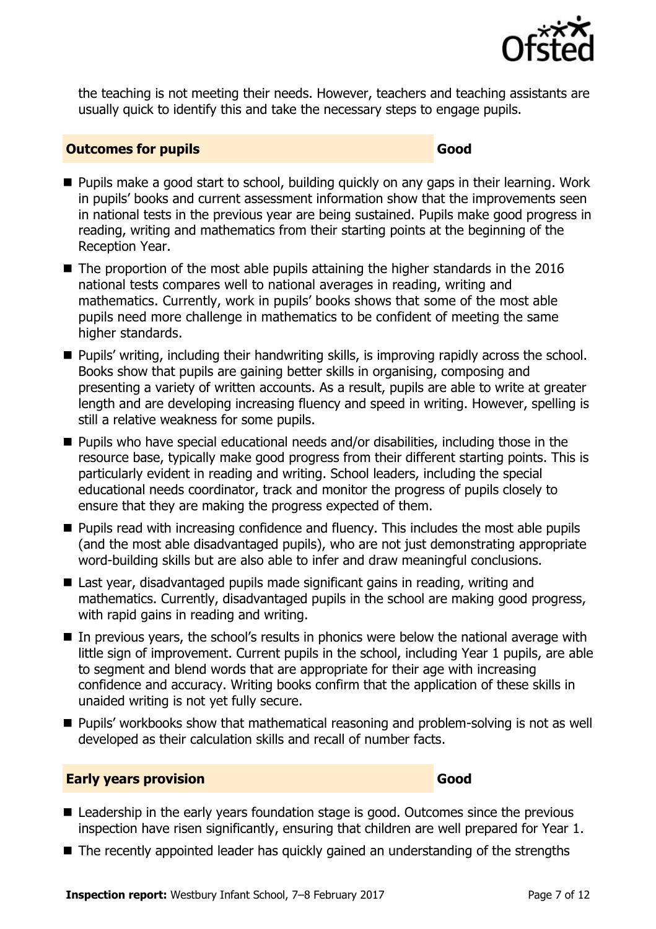

the teaching is not meeting their needs. However, teachers and teaching assistants are usually quick to identify this and take the necessary steps to engage pupils.

#### **Outcomes for pupils Good Good**

- Pupils make a good start to school, building quickly on any gaps in their learning. Work in pupils' books and current assessment information show that the improvements seen in national tests in the previous year are being sustained. Pupils make good progress in reading, writing and mathematics from their starting points at the beginning of the Reception Year.
- $\blacksquare$  The proportion of the most able pupils attaining the higher standards in the 2016 national tests compares well to national averages in reading, writing and mathematics. Currently, work in pupils' books shows that some of the most able pupils need more challenge in mathematics to be confident of meeting the same higher standards.
- **Pupils' writing, including their handwriting skills, is improving rapidly across the school.** Books show that pupils are gaining better skills in organising, composing and presenting a variety of written accounts. As a result, pupils are able to write at greater length and are developing increasing fluency and speed in writing. However, spelling is still a relative weakness for some pupils.
- Pupils who have special educational needs and/or disabilities, including those in the resource base, typically make good progress from their different starting points. This is particularly evident in reading and writing. School leaders, including the special educational needs coordinator, track and monitor the progress of pupils closely to ensure that they are making the progress expected of them.
- **Pupils read with increasing confidence and fluency. This includes the most able pupils** (and the most able disadvantaged pupils), who are not just demonstrating appropriate word-building skills but are also able to infer and draw meaningful conclusions.
- Last year, disadvantaged pupils made significant gains in reading, writing and mathematics. Currently, disadvantaged pupils in the school are making good progress, with rapid gains in reading and writing.
- In previous years, the school's results in phonics were below the national average with little sign of improvement. Current pupils in the school, including Year 1 pupils, are able to segment and blend words that are appropriate for their age with increasing confidence and accuracy. Writing books confirm that the application of these skills in unaided writing is not yet fully secure.
- Pupils' workbooks show that mathematical reasoning and problem-solving is not as well developed as their calculation skills and recall of number facts.

#### **Early years provision Good Good**

- Leadership in the early years foundation stage is good. Outcomes since the previous inspection have risen significantly, ensuring that children are well prepared for Year 1.
- The recently appointed leader has quickly gained an understanding of the strengths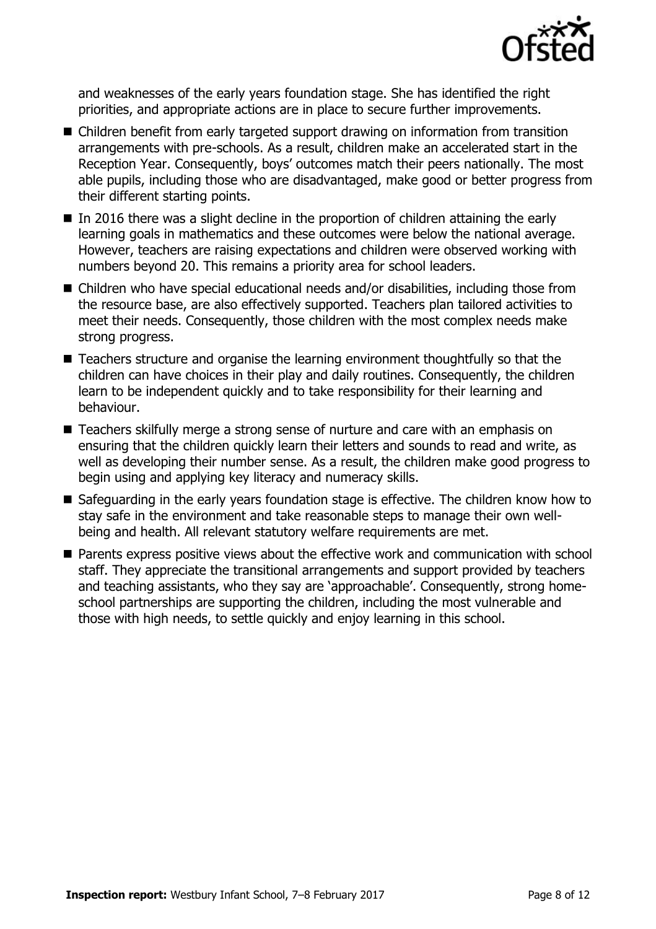

and weaknesses of the early years foundation stage. She has identified the right priorities, and appropriate actions are in place to secure further improvements.

- Children benefit from early targeted support drawing on information from transition arrangements with pre-schools. As a result, children make an accelerated start in the Reception Year. Consequently, boys' outcomes match their peers nationally. The most able pupils, including those who are disadvantaged, make good or better progress from their different starting points.
- In 2016 there was a slight decline in the proportion of children attaining the early learning goals in mathematics and these outcomes were below the national average. However, teachers are raising expectations and children were observed working with numbers beyond 20. This remains a priority area for school leaders.
- Children who have special educational needs and/or disabilities, including those from the resource base, are also effectively supported. Teachers plan tailored activities to meet their needs. Consequently, those children with the most complex needs make strong progress.
- Teachers structure and organise the learning environment thoughtfully so that the children can have choices in their play and daily routines. Consequently, the children learn to be independent quickly and to take responsibility for their learning and behaviour.
- Teachers skilfully merge a strong sense of nurture and care with an emphasis on ensuring that the children quickly learn their letters and sounds to read and write, as well as developing their number sense. As a result, the children make good progress to begin using and applying key literacy and numeracy skills.
- Safeguarding in the early years foundation stage is effective. The children know how to stay safe in the environment and take reasonable steps to manage their own wellbeing and health. All relevant statutory welfare requirements are met.
- Parents express positive views about the effective work and communication with school staff. They appreciate the transitional arrangements and support provided by teachers and teaching assistants, who they say are 'approachable'. Consequently, strong homeschool partnerships are supporting the children, including the most vulnerable and those with high needs, to settle quickly and enjoy learning in this school.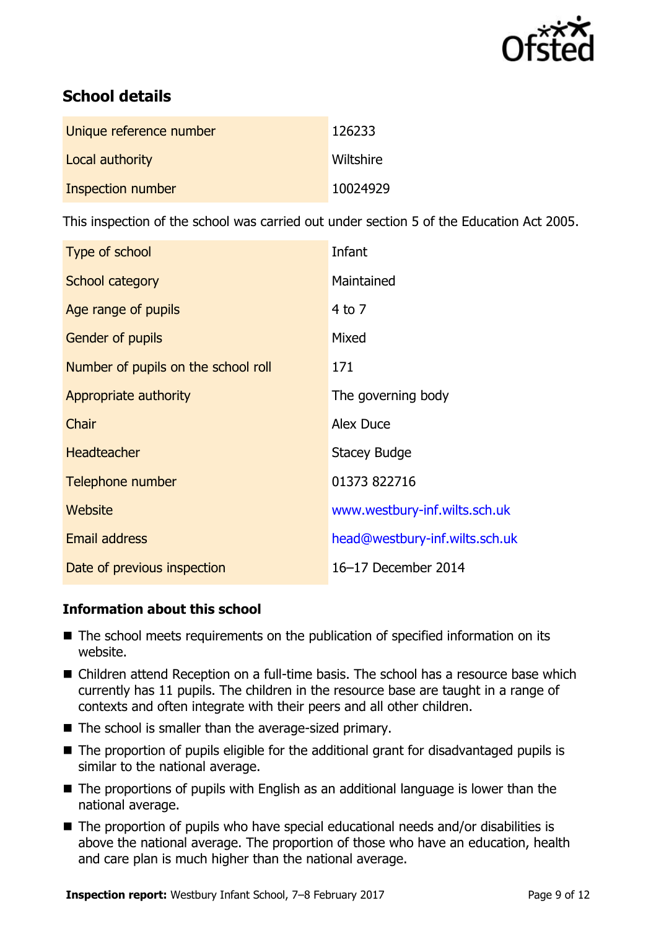

# **School details**

| Unique reference number | 126233    |
|-------------------------|-----------|
| Local authority         | Wiltshire |
| Inspection number       | 10024929  |

This inspection of the school was carried out under section 5 of the Education Act 2005.

| Type of school                      | Infant                         |
|-------------------------------------|--------------------------------|
| School category                     | Maintained                     |
| Age range of pupils                 | $4$ to $7$                     |
| <b>Gender of pupils</b>             | Mixed                          |
| Number of pupils on the school roll | 171                            |
| Appropriate authority               | The governing body             |
| Chair                               | Alex Duce                      |
| <b>Headteacher</b>                  | Stacey Budge                   |
| Telephone number                    | 01373 822716                   |
| <b>Website</b>                      | www.westbury-inf.wilts.sch.uk  |
| <b>Email address</b>                | head@westbury-inf.wilts.sch.uk |
| Date of previous inspection         | 16-17 December 2014            |

#### **Information about this school**

- The school meets requirements on the publication of specified information on its website.
- Children attend Reception on a full-time basis. The school has a resource base which currently has 11 pupils. The children in the resource base are taught in a range of contexts and often integrate with their peers and all other children.
- The school is smaller than the average-sized primary.
- The proportion of pupils eligible for the additional grant for disadvantaged pupils is similar to the national average.
- The proportions of pupils with English as an additional language is lower than the national average.
- The proportion of pupils who have special educational needs and/or disabilities is above the national average. The proportion of those who have an education, health and care plan is much higher than the national average.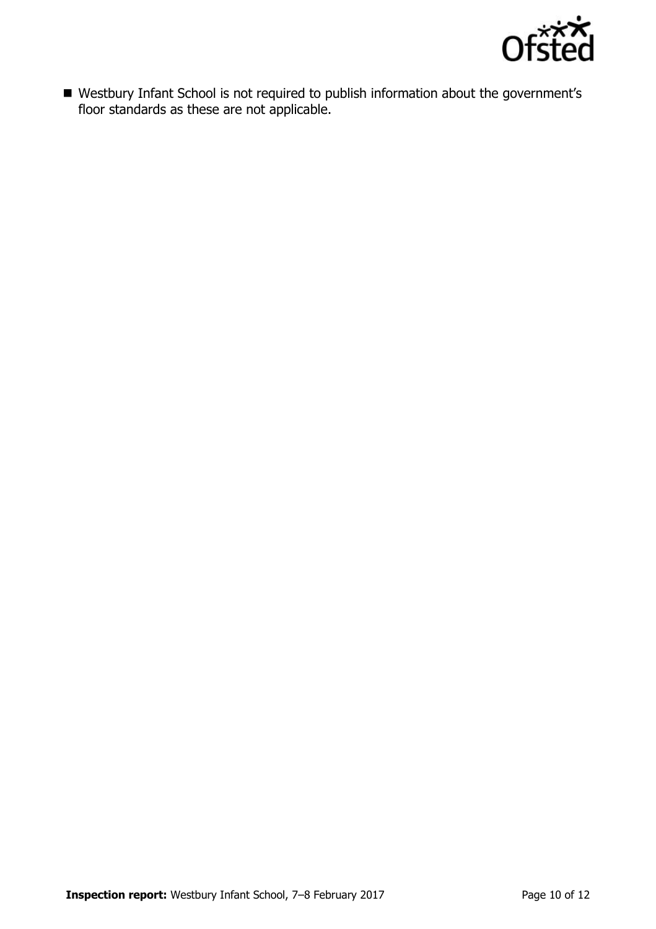

 Westbury Infant School is not required to publish information about the government's floor standards as these are not applicable.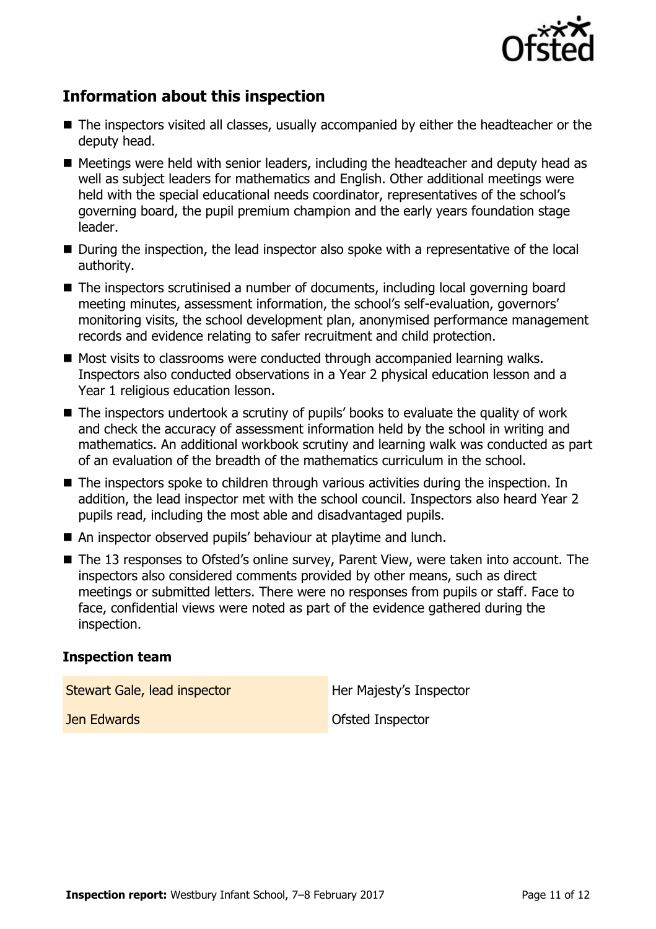

# **Information about this inspection**

- The inspectors visited all classes, usually accompanied by either the headteacher or the deputy head.
- Meetings were held with senior leaders, including the headteacher and deputy head as well as subject leaders for mathematics and English. Other additional meetings were held with the special educational needs coordinator, representatives of the school's governing board, the pupil premium champion and the early years foundation stage leader.
- During the inspection, the lead inspector also spoke with a representative of the local authority.
- The inspectors scrutinised a number of documents, including local governing board meeting minutes, assessment information, the school's self-evaluation, governors' monitoring visits, the school development plan, anonymised performance management records and evidence relating to safer recruitment and child protection.
- Most visits to classrooms were conducted through accompanied learning walks. Inspectors also conducted observations in a Year 2 physical education lesson and a Year 1 religious education lesson.
- The inspectors undertook a scrutiny of pupils' books to evaluate the quality of work and check the accuracy of assessment information held by the school in writing and mathematics. An additional workbook scrutiny and learning walk was conducted as part of an evaluation of the breadth of the mathematics curriculum in the school.
- The inspectors spoke to children through various activities during the inspection. In addition, the lead inspector met with the school council. Inspectors also heard Year 2 pupils read, including the most able and disadvantaged pupils.
- An inspector observed pupils' behaviour at playtime and lunch.
- The 13 responses to Ofsted's online survey, Parent View, were taken into account. The inspectors also considered comments provided by other means, such as direct meetings or submitted letters. There were no responses from pupils or staff. Face to face, confidential views were noted as part of the evidence gathered during the inspection.

#### **Inspection team**

Stewart Gale, lead inspector **Her Majesty's Inspector** 

**Jen Edwards Ofsted Inspector**